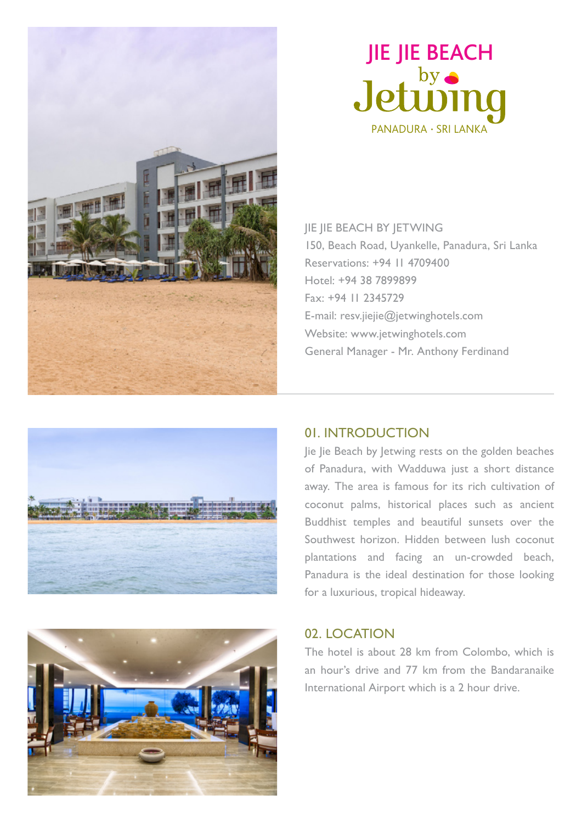



JIE JIE BEACH BY JETWING 150, Beach Road, Uyankelle, Panadura, Sri Lanka Reservations: +94 11 4709400 Hotel: +94 38 7899899 Fax: +94 11 2345729 E-mail: resv.jiejie@jetwinghotels.com Website: www.jetwinghotels.com General Manager - Mr. Anthony Ferdinand



#### 01. INTRODUCTION

Jie Jie Beach by Jetwing rests on the golden beaches of Panadura, with Wadduwa just a short distance away. The area is famous for its rich cultivation of coconut palms, historical places such as ancient Buddhist temples and beautiful sunsets over the Southwest horizon. Hidden between lush coconut plantations and facing an un-crowded beach, Panadura is the ideal destination for those looking for a luxurious, tropical hideaway.

#### 02. LOCATION

The hotel is about 28 km from Colombo, which is an hour's drive and 77 km from the Bandaranaike International Airport which is a 2 hour drive.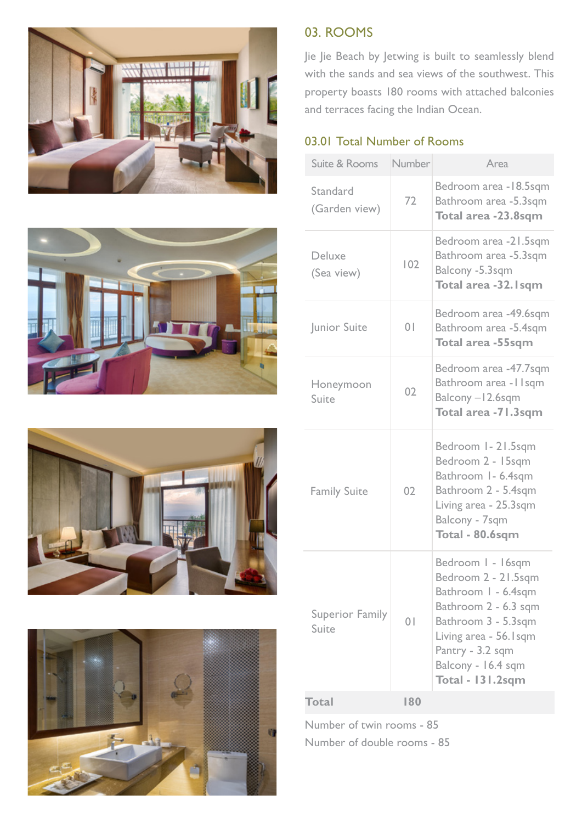







#### 03. ROOMS

Jie Jie Beach by Jetwing is built to seamlessly blend with the sands and sea views of the southwest. This property boasts 180 rooms with attached balconies and terraces facing the Indian Ocean.

#### 03.01 Total Number of Rooms

| Suite & Rooms                   | Number         | Area                                                                                                                                                                                                          |
|---------------------------------|----------------|---------------------------------------------------------------------------------------------------------------------------------------------------------------------------------------------------------------|
| Standard<br>(Garden view)       | 72             | Bedroom area -18.5sqm<br>Bathroom area -5.3sqm<br>Total area -23.8sqm                                                                                                                                         |
| Deluxe<br>(Sea view)            | 102            | Bedroom area -21.5sqm<br>Bathroom area -5.3sqm<br>Balcony -5.3sqm<br>Total area -32. I sqm                                                                                                                    |
| Junior Suite                    | 0 <sup>1</sup> | Bedroom area -49.6sqm<br>Bathroom area -5.4sqm<br><b>Total area -55sqm</b>                                                                                                                                    |
| Honeymoon<br>Suite              | 02             | Bedroom area -47.7sqm<br>Bathroom area - I Isqm<br>Balcony -12.6sqm<br>Total area -71.3sqm                                                                                                                    |
| <b>Family Suite</b>             | 02             | Bedroom 1-21.5sqm<br>Bedroom 2 - 15sqm<br>Bathroom 1- 6.4sqm<br>Bathroom 2 - 5.4sqm<br>Living area - 25.3sqm<br>Balcony - 7sqm<br>Total - 80.6sqm                                                             |
| <b>Superior Family</b><br>Suite | 0 <sup>1</sup> | Bedroom I - 16sqm<br>Bedroom 2 - 21.5sqm<br>Bathroom I - 6.4sqm<br>Bathroom 2 - 6.3 sqm<br>Bathroom 3 - 5.3sqm<br>Living area - 56. Isqm<br>Pantry - 3.2 sqm<br>Balcony - 16.4 sqm<br><b>Total - 131.2sqm</b> |
| <b>Total</b>                    | 180            |                                                                                                                                                                                                               |

Number of twin rooms - 85 Number of double rooms - 85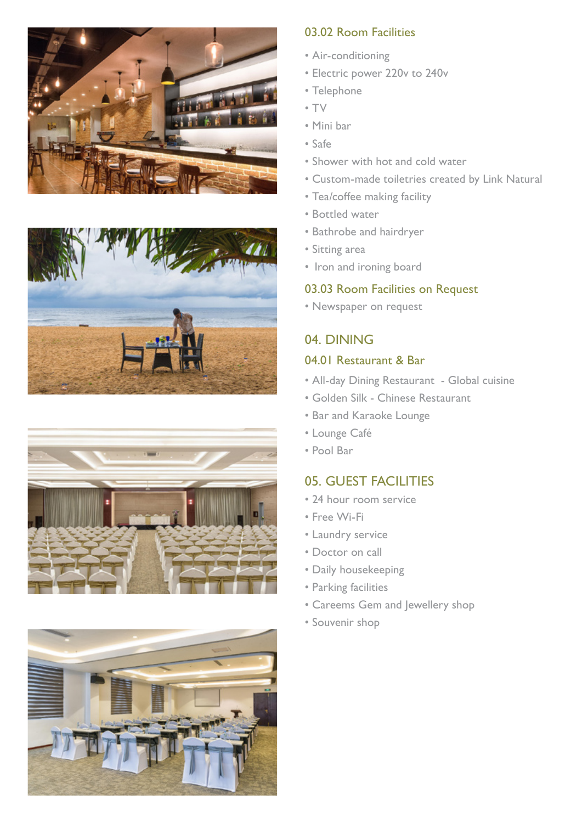







#### 03.02 Room Facilities

- Air-conditioning
- Electric power 220v to 240v
- Telephone
- TV
- Mini bar
- Safe
- Shower with hot and cold water
- Custom-made toiletries created by Link Natural
- Tea/coffee making facility
- Bottled water
- Bathrobe and hairdryer
- Sitting area
- Iron and ironing board

#### 03.03 Room Facilities on Request

• Newspaper on request

# 04. DINING

## 04.01 Restaurant & Bar

- All-day Dining Restaurant Global cuisine
- Golden Silk Chinese Restaurant
- Bar and Karaoke Lounge
- Lounge Café
- Pool Bar

#### 05. GUEST FACILITIES

- 24 hour room service
- Free Wi-Fi
- Laundry service
- Doctor on call
- Daily housekeeping
- Parking facilities
- Careems Gem and Jewellery shop
- Souvenir shop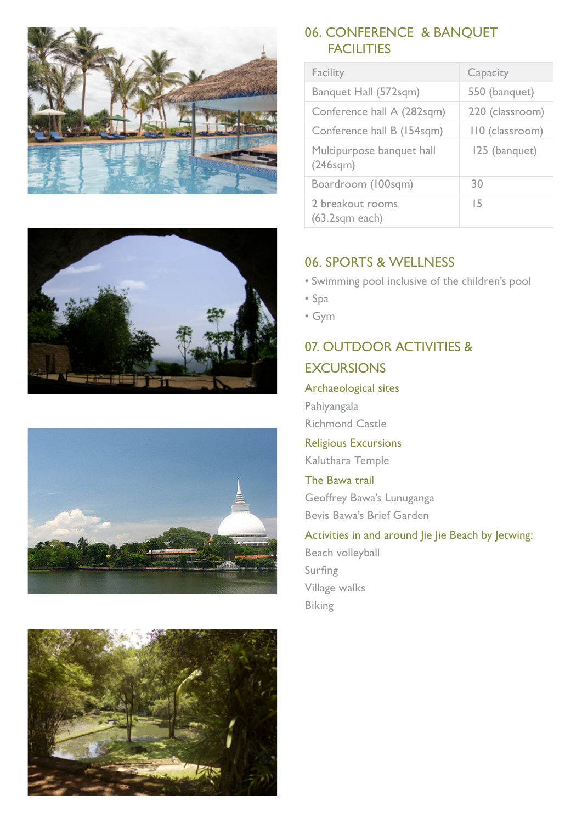







#### 06. CONFERENCE & BANQUET **FACILITIES**

| Facility                                           | Capacity        |
|----------------------------------------------------|-----------------|
| Banquet Hall (572sqm)                              | 550 (banquet)   |
| Conference hall A (282sqm)                         | 220 (classroom) |
| Conference hall B (154sqm)                         | 110 (classroom) |
| Multipurpose banquet hall<br>(246 <sub>sqm</sub> ) | 125 (banquet)   |
| Boardroom (100sqm)                                 | 30              |
| 2 breakout rooms<br>$(63.2$ sqm each)              | 15              |

#### 06. SPORTS & WELLNESS

- Swimming pool inclusive of the children's pool
- Spa
- Gym

### 07. OUTDOOR ACTIVITIES & **EXCURSIONS**

#### Archaeological sites

Pahiyangala Richmond Castle

Religious Excursions

Kaluthara Temple

The Bawa trail Geoffrey Bawa's Lunuganga Bevis Bawa's Brief Garden

# Activities in and around Jie Jie Beach by Jetwing:

Beach volleyball Surfing Village walks Biking